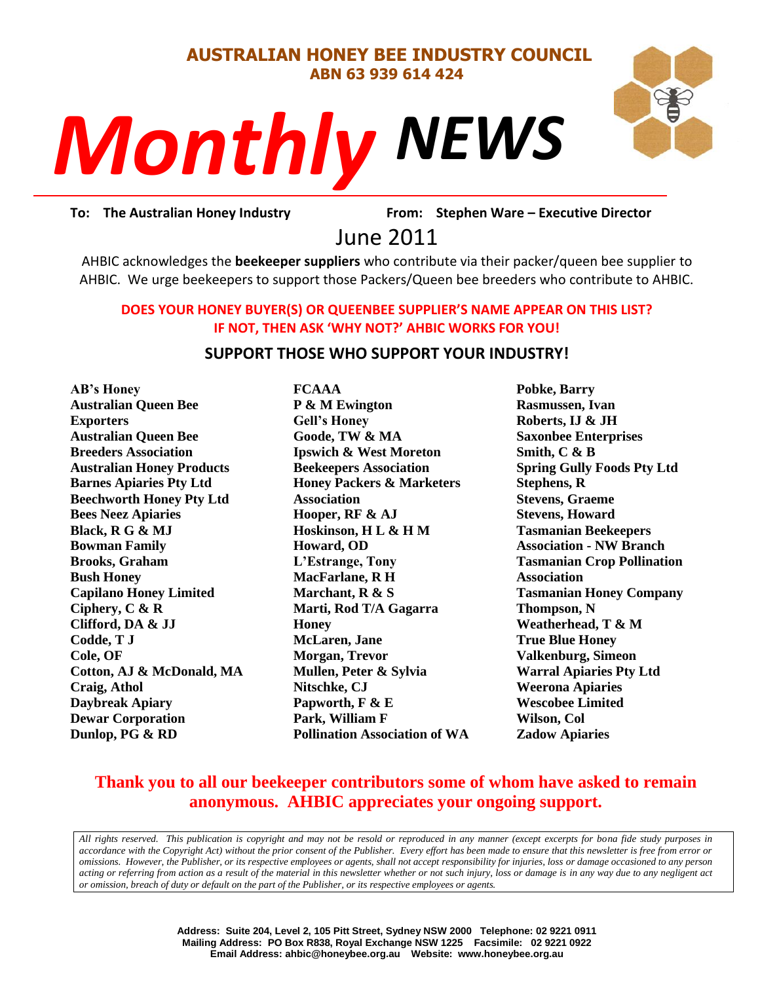#### **AUSTRALIAN HONEY BEE INDUSTRY COUNCIL ABN 63 939 614 424**

# *NEWS Monthly*



rom: Stephe<br>2011 **To: The Australian Honey Industry From: Stephen Ware – Executive Director**

June 2011

AHBIC acknowledges the **beekeeper suppliers** who contribute via their packer/queen bee supplier to AHBIC. We urge beekeepers to support those Packers/Queen bee breeders who contribute to AHBIC.

#### **DOES YOUR HONEY BUYER(S) OR QUEENBEE SUPPLIER'S NAME APPEAR ON THIS LIST? IF NOT, THEN ASK 'WHY NOT?' AHBIC WORKS FOR YOU!**

#### **SUPPORT THOSE WHO SUPPORT YOUR INDUSTRY!**

**AB's Honey Australian Queen Bee Exporters Australian Queen Bee Breeders Association Australian Honey Products Barnes Apiaries Pty Ltd Beechworth Honey Pty Ltd Bees Neez Apiaries Black, R G & MJ Bowman Family Brooks, Graham Bush Honey Capilano Honey Limited Ciphery, C & R Clifford, DA & JJ Codde, T J Cole, OF Cotton, AJ & McDonald, MA Craig, Athol Daybreak Apiary Dewar Corporation Dunlop, PG & RD**

**FCAAA P & M Ewington Gell's Honey Goode, TW & MA Ipswich & West Moreton Beekeepers Association Honey Packers & Marketers Association Hooper, RF & AJ Hoskinson, H L & H M Howard, OD L'Estrange, Tony MacFarlane, R H Marchant, R & S Marti, Rod T/A Gagarra Honey McLaren, Jane Morgan, Trevor Mullen, Peter & Sylvia Nitschke, CJ Papworth, F & E Park, William F Pollination Association of WA** **Pobke, Barry Rasmussen, Ivan Roberts, IJ & JH Saxonbee Enterprises Smith, C & B Spring Gully Foods Pty Ltd Stephens, R Stevens, Graeme Stevens, Howard Tasmanian Beekeepers Association - NW Branch Tasmanian Crop Pollination Association Tasmanian Honey Company Thompson, N Weatherhead, T & M True Blue Honey Valkenburg, Simeon Warral Apiaries Pty Ltd Weerona Apiaries Wescobee Limited Wilson, Col Zadow Apiaries**

### **Thank you to all our beekeeper contributors some of whom have asked to remain anonymous. AHBIC appreciates your ongoing support.**

*All rights reserved. This publication is copyright and may not be resold or reproduced in any manner (except excerpts for bona fide study purposes in accordance with the Copyright Act) without the prior consent of the Publisher. Every effort has been made to ensure that this newsletter is free from error or omissions. However, the Publisher, or its respective employees or agents, shall not accept responsibility for injuries, loss or damage occasioned to any person acting or referring from action as a result of the material in this newsletter whether or not such injury, loss or damage is in any way due to any negligent act or omission, breach of duty or default on the part of the Publisher, or its respective employees or agents.*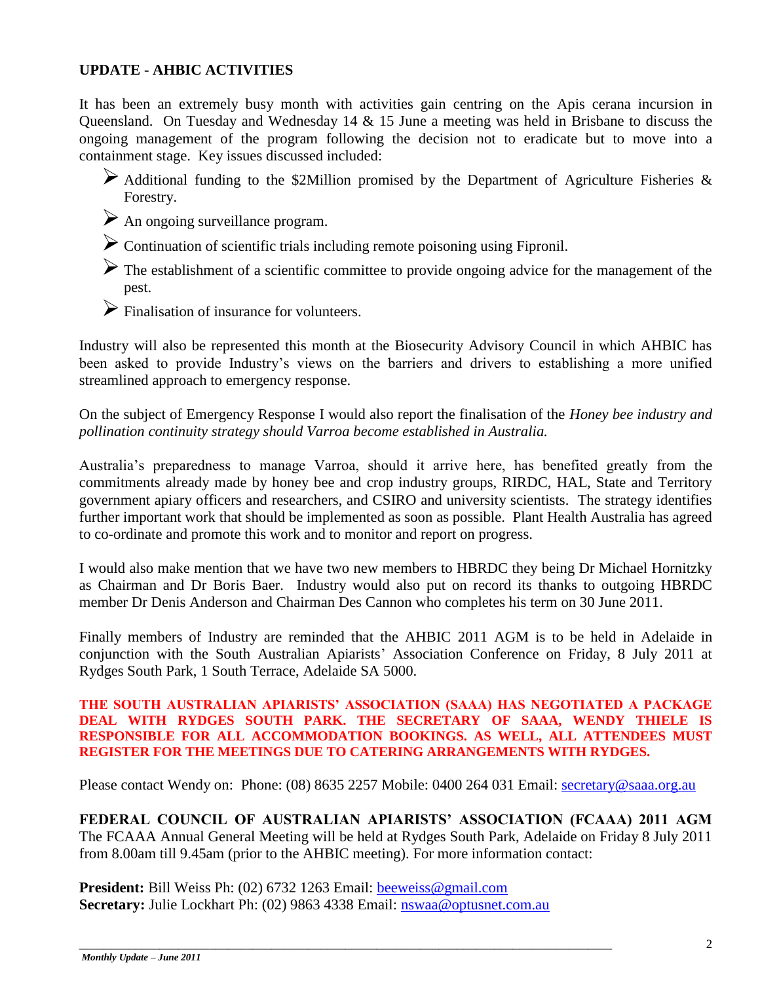#### **UPDATE - AHBIC ACTIVITIES**

It has been an extremely busy month with activities gain centring on the Apis cerana incursion in Queensland. On Tuesday and Wednesday 14 & 15 June a meeting was held in Brisbane to discuss the ongoing management of the program following the decision not to eradicate but to move into a containment stage. Key issues discussed included:

- $\triangleright$  Additional funding to the \$2Million promised by the Department of Agriculture Fisheries & Forestry.
- $\triangleright$  An ongoing surveillance program.
- $\triangleright$  Continuation of scientific trials including remote poisoning using Fipronil.
- The establishment of a scientific committee to provide ongoing advice for the management of the pest.
- $\triangleright$  Finalisation of insurance for volunteers.

Industry will also be represented this month at the Biosecurity Advisory Council in which AHBIC has been asked to provide Industry"s views on the barriers and drivers to establishing a more unified streamlined approach to emergency response.

On the subject of Emergency Response I would also report the finalisation of the *Honey bee industry and pollination continuity strategy should Varroa become established in Australia.*

Australia"s preparedness to manage Varroa, should it arrive here, has benefited greatly from the commitments already made by honey bee and crop industry groups, RIRDC, HAL, State and Territory government apiary officers and researchers, and CSIRO and university scientists. The strategy identifies further important work that should be implemented as soon as possible. Plant Health Australia has agreed to co-ordinate and promote this work and to monitor and report on progress.

I would also make mention that we have two new members to HBRDC they being Dr Michael Hornitzky as Chairman and Dr Boris Baer. Industry would also put on record its thanks to outgoing HBRDC member Dr Denis Anderson and Chairman Des Cannon who completes his term on 30 June 2011.

Finally members of Industry are reminded that the AHBIC 2011 AGM is to be held in Adelaide in conjunction with the South Australian Apiarists" Association Conference on Friday, 8 July 2011 at Rydges South Park, 1 South Terrace, Adelaide SA 5000.

#### **THE SOUTH AUSTRALIAN APIARISTS' ASSOCIATION (SAAA) HAS NEGOTIATED A PACKAGE DEAL WITH RYDGES SOUTH PARK. THE SECRETARY OF SAAA, WENDY THIELE IS RESPONSIBLE FOR ALL ACCOMMODATION BOOKINGS. AS WELL, ALL ATTENDEES MUST REGISTER FOR THE MEETINGS DUE TO CATERING ARRANGEMENTS WITH RYDGES.**

Please contact Wendy on: Phone: (08) 8635 2257 Mobile: 0400 264 031 Email: [secretary@saaa.org.au](mailto:secretary@saaa.org.au)

**FEDERAL COUNCIL OF AUSTRALIAN APIARISTS' ASSOCIATION (FCAAA) 2011 AGM**  The FCAAA Annual General Meeting will be held at Rydges South Park, Adelaide on Friday 8 July 2011 from 8.00am till 9.45am (prior to the AHBIC meeting). For more information contact:

**President:** Bill Weiss Ph: (02) 6732 1263 Email: [beeweiss@gmail.com](mailto:beeweiss@gmail.com) **Secretary:** Julie Lockhart Ph: (02) 9863 4338 Email: [nswaa@optusnet.com.au](mailto:nswaa@optusnet.com.au)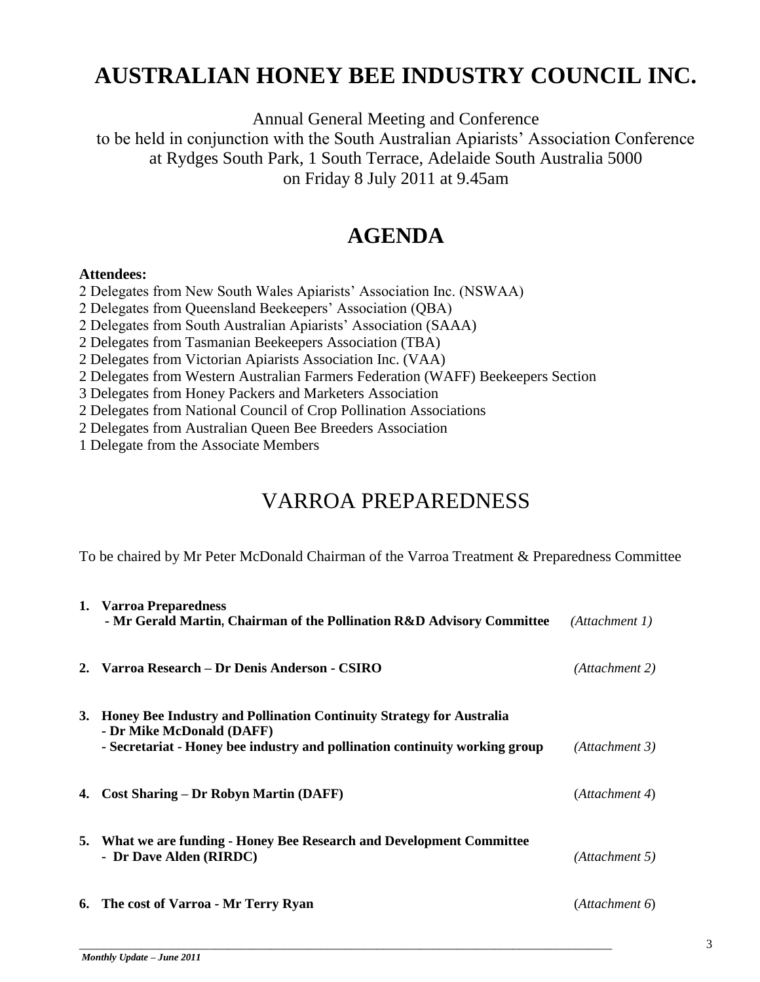# **AUSTRALIAN HONEY BEE INDUSTRY COUNCIL INC.**

Annual General Meeting and Conference to be held in conjunction with the South Australian Apiarists" Association Conference at Rydges South Park, 1 South Terrace, Adelaide South Australia 5000 on Friday 8 July 2011 at 9.45am

# **AGENDA**

#### **Attendees:**

2 Delegates from New South Wales Apiarists" Association Inc. (NSWAA)

2 Delegates from Queensland Beekeepers" Association (QBA)

2 Delegates from South Australian Apiarists" Association (SAAA)

2 Delegates from Tasmanian Beekeepers Association (TBA)

2 Delegates from Victorian Apiarists Association Inc. (VAA)

2 Delegates from Western Australian Farmers Federation (WAFF) Beekeepers Section

3 Delegates from Honey Packers and Marketers Association

2 Delegates from National Council of Crop Pollination Associations

2 Delegates from Australian Queen Bee Breeders Association

1 Delegate from the Associate Members

## VARROA PREPAREDNESS

To be chaired by Mr Peter McDonald Chairman of the Varroa Treatment & Preparedness Committee

|    | 1. Varroa Preparedness<br>- Mr Gerald Martin, Chairman of the Pollination R&D Advisory Committee         | (Attachment 1) |
|----|----------------------------------------------------------------------------------------------------------|----------------|
|    | 2. Varroa Research – Dr Denis Anderson - CSIRO                                                           | (Attachment 2) |
|    | 3. Honey Bee Industry and Pollination Continuity Strategy for Australia                                  |                |
|    | - Dr Mike McDonald (DAFF)<br>- Secretariat - Honey bee industry and pollination continuity working group | (Attachment 3) |
| 4. | <b>Cost Sharing – Dr Robyn Martin (DAFF)</b>                                                             | (Attachment 4) |
|    | 5. What we are funding - Honey Bee Research and Development Committee<br>- Dr Dave Alden (RIRDC)         | (Attachment 5) |
|    | 6. The cost of Varroa - Mr Terry Ryan                                                                    | (Attachment 6) |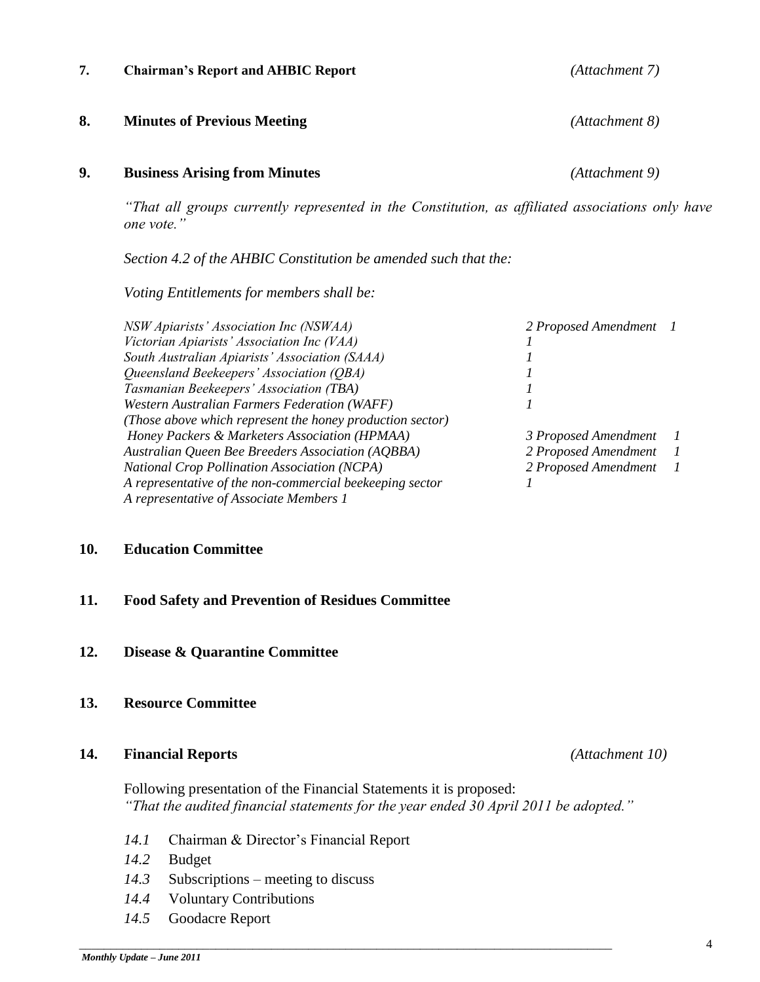#### **7. Chairman's Report and AHBIC Report** *(Attachment 7)*

#### **8. Minutes of Previous Meeting** *(Attachment 8)*

#### **9. Business Arising from Minutes** *(Attachment 9)*

*"That all groups currently represented in the Constitution, as affiliated associations only have one vote."*

*Section 4.2 of the AHBIC Constitution be amended such that the:*

*Voting Entitlements for members shall be:* 

| NSW Apiarists' Association Inc (NSWAA)                    | 2 Proposed Amendment 1 |                          |
|-----------------------------------------------------------|------------------------|--------------------------|
| Victorian Apiarists' Association Inc (VAA)                |                        |                          |
| South Australian Apiarists' Association (SAAA)            |                        |                          |
| Queensland Beekeepers' Association (OBA)                  |                        |                          |
| Tasmanian Beekeepers' Association (TBA)                   |                        |                          |
| Western Australian Farmers Federation (WAFF)              |                        |                          |
| (Those above which represent the honey production sector) |                        |                          |
| Honey Packers & Marketers Association (HPMAA)             | 3 Proposed Amendment   | $\overline{\phantom{a}}$ |
| <b>Australian Queen Bee Breeders Association (AQBBA)</b>  | 2 Proposed Amendment   | $\overline{\phantom{a}}$ |
| <b>National Crop Pollination Association (NCPA)</b>       | 2 Proposed Amendment 1 |                          |
| A representative of the non-commercial beekeeping sector  |                        |                          |
| A representative of Associate Members 1                   |                        |                          |
|                                                           |                        |                          |

#### **10. Education Committee**

#### **11. Food Safety and Prevention of Residues Committee**

**12. Disease & Quarantine Committee** 

#### **13. Resource Committee**

#### **14. Financial Reports** *(Attachment 10)*

Following presentation of the Financial Statements it is proposed: *"That the audited financial statements for the year ended 30 April 2011 be adopted."*

\_\_\_\_\_\_\_\_\_\_\_\_\_\_\_\_\_\_\_\_\_\_\_\_\_\_\_\_\_\_\_\_\_\_\_\_\_\_\_\_\_\_\_\_\_\_\_\_\_\_\_\_\_\_\_\_\_\_\_\_\_\_\_\_\_\_\_\_\_\_\_\_\_\_\_\_\_\_\_\_\_\_\_\_\_\_

- 14.1 Chairman & Director's Financial Report
- *14.2* Budget
- *14.3* Subscriptions meeting to discuss
- *14.4* Voluntary Contributions
- *14.5* Goodacre Report

4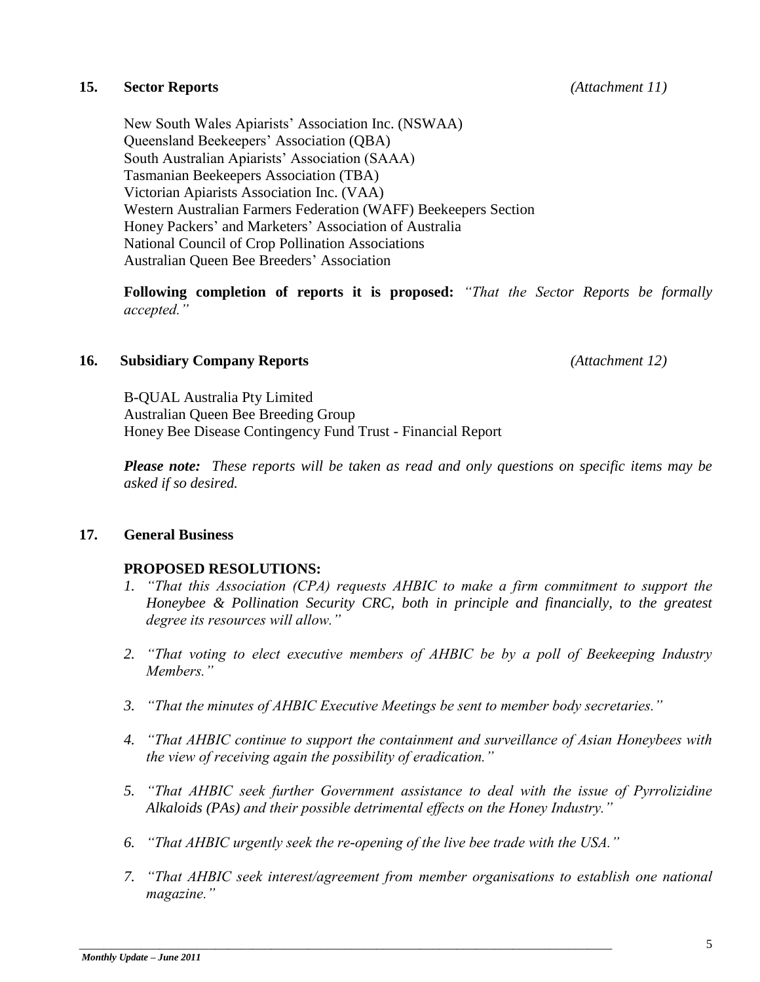#### **15. Sector Reports** *(Attachment 11)*

New South Wales Apiarists" Association Inc. (NSWAA) Queensland Beekeepers" Association (QBA) South Australian Apiarists" Association (SAAA) Tasmanian Beekeepers Association (TBA) Victorian Apiarists Association Inc. (VAA) Western Australian Farmers Federation (WAFF) Beekeepers Section Honey Packers" and Marketers" Association of Australia National Council of Crop Pollination Associations Australian Queen Bee Breeders" Association

**Following completion of reports it is proposed:** *"That the Sector Reports be formally accepted."*

#### **16. Subsidiary Company Reports** *(Attachment 12)*

B-QUAL Australia Pty Limited Australian Queen Bee Breeding Group Honey Bee Disease Contingency Fund Trust - Financial Report

*Please note: These reports will be taken as read and only questions on specific items may be asked if so desired.*

#### **17. General Business**

#### **PROPOSED RESOLUTIONS:**

- *1. "That this Association (CPA) requests AHBIC to make a firm commitment to support the Honeybee & Pollination Security CRC, both in principle and financially, to the greatest degree its resources will allow."*
- *2. "That voting to elect executive members of AHBIC be by a poll of Beekeeping Industry Members."*
- *3. "That the minutes of AHBIC Executive Meetings be sent to member body secretaries."*
- *4. "That AHBIC continue to support the containment and surveillance of Asian Honeybees with the view of receiving again the possibility of eradication."*
- *5. "That AHBIC seek further Government assistance to deal with the issue of Pyrrolizidine Alkaloids (PAs) and their possible detrimental effects on the Honey Industry."*
- *6. "That AHBIC urgently seek the re-opening of the live bee trade with the USA."*

\_\_\_\_\_\_\_\_\_\_\_\_\_\_\_\_\_\_\_\_\_\_\_\_\_\_\_\_\_\_\_\_\_\_\_\_\_\_\_\_\_\_\_\_\_\_\_\_\_\_\_\_\_\_\_\_\_\_\_\_\_\_\_\_\_\_\_\_\_\_\_\_\_\_\_\_\_\_\_\_\_\_\_\_\_\_

*7. "That AHBIC seek interest/agreement from member organisations to establish one national magazine."*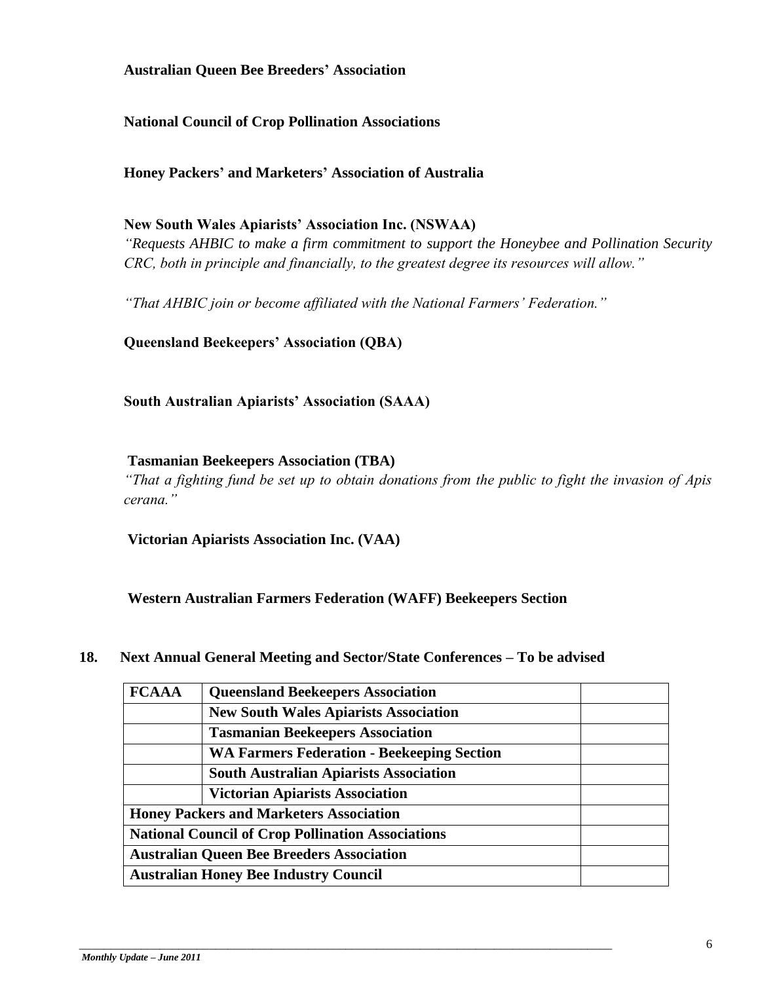**Australian Queen Bee Breeders' Association** 

**National Council of Crop Pollination Associations**

**Honey Packers' and Marketers' Association of Australia** 

#### **New South Wales Apiarists' Association Inc. (NSWAA)**

*"Requests AHBIC to make a firm commitment to support the Honeybee and Pollination Security CRC, both in principle and financially, to the greatest degree its resources will allow."*

*"That AHBIC join or become affiliated with the National Farmers' Federation."*

**Queensland Beekeepers' Association (QBA)**

**South Australian Apiarists' Association (SAAA)**

#### **Tasmanian Beekeepers Association (TBA)**

*"That a fighting fund be set up to obtain donations from the public to fight the invasion of Apis cerana."*

**Victorian Apiarists Association Inc. (VAA)**

**Western Australian Farmers Federation (WAFF) Beekeepers Section**

#### **18. Next Annual General Meeting and Sector/State Conferences – To be advised**

| <b>FCAAA</b>                                             | <b>Queensland Beekeepers Association</b>          |  |  |  |
|----------------------------------------------------------|---------------------------------------------------|--|--|--|
|                                                          | <b>New South Wales Apiarists Association</b>      |  |  |  |
|                                                          | <b>Tasmanian Beekeepers Association</b>           |  |  |  |
|                                                          | <b>WA Farmers Federation - Beekeeping Section</b> |  |  |  |
|                                                          | <b>South Australian Apiarists Association</b>     |  |  |  |
|                                                          | <b>Victorian Apiarists Association</b>            |  |  |  |
| <b>Honey Packers and Marketers Association</b>           |                                                   |  |  |  |
| <b>National Council of Crop Pollination Associations</b> |                                                   |  |  |  |
| <b>Australian Queen Bee Breeders Association</b>         |                                                   |  |  |  |
| <b>Australian Honey Bee Industry Council</b>             |                                                   |  |  |  |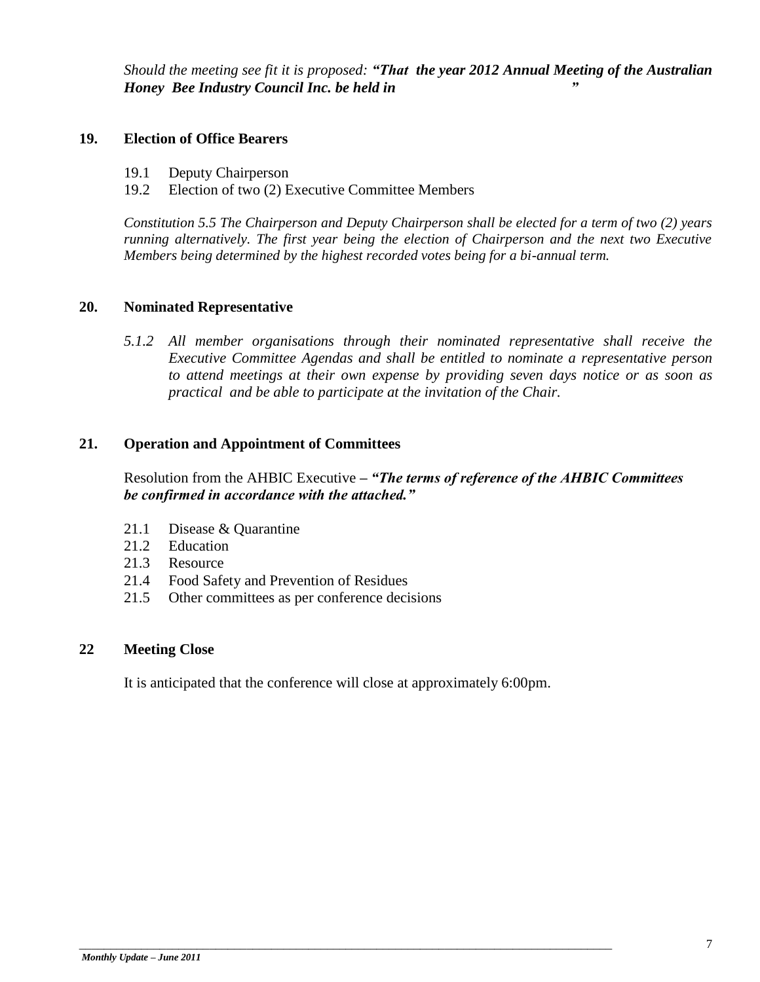*Should the meeting see fit it is proposed: "That the year 2012 Annual Meeting of the Australian Honey Bee Industry Council Inc. be held in "*

#### **19. Election of Office Bearers**

- 19.1 Deputy Chairperson
- 19.2 Election of two (2) Executive Committee Members

*Constitution 5.5 The Chairperson and Deputy Chairperson shall be elected for a term of two (2) years running alternatively. The first year being the election of Chairperson and the next two Executive Members being determined by the highest recorded votes being for a bi-annual term.*

#### **20. Nominated Representative**

*5.1.2 All member organisations through their nominated representative shall receive the Executive Committee Agendas and shall be entitled to nominate a representative person to attend meetings at their own expense by providing seven days notice or as soon as practical and be able to participate at the invitation of the Chair.*

#### **21. Operation and Appointment of Committees**

Resolution from the AHBIC Executive *– "The terms of reference of the AHBIC Committees be confirmed in accordance with the attached."*

- 21.1 Disease & Quarantine
- 21.2 Education
- 21.3 Resource
- 21.4 Food Safety and Prevention of Residues
- 21.5 Other committees as per conference decisions

#### **22 Meeting Close**

It is anticipated that the conference will close at approximately 6:00pm.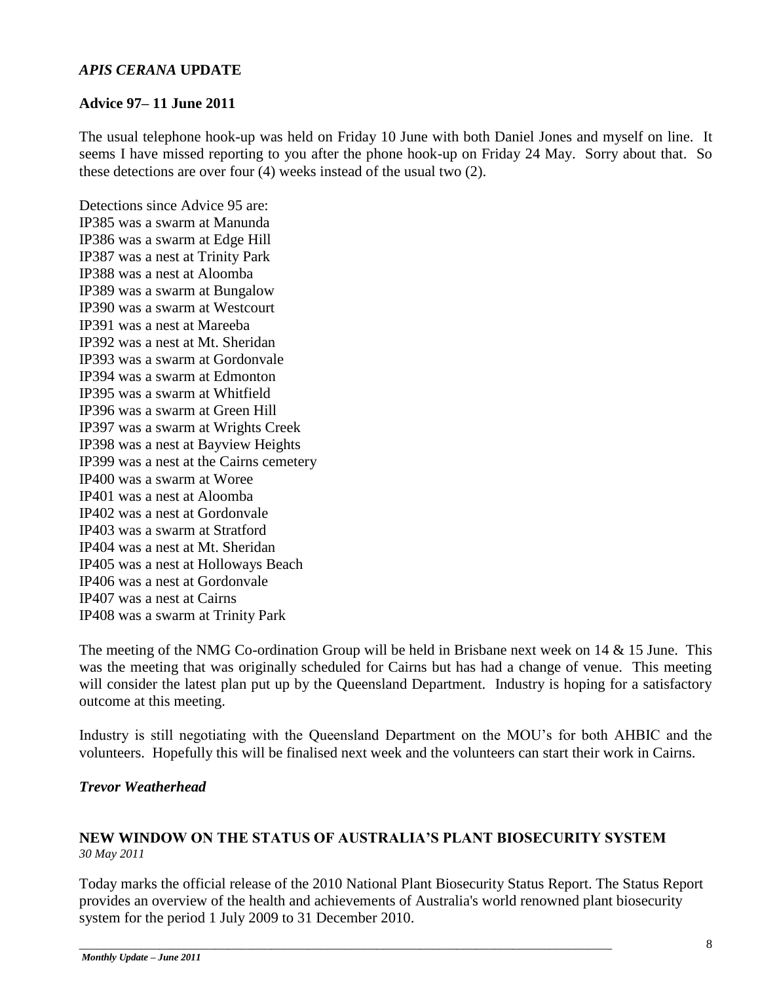#### *APIS CERANA* **UPDATE**

#### **Advice 97– 11 June 2011**

The usual telephone hook-up was held on Friday 10 June with both Daniel Jones and myself on line. It seems I have missed reporting to you after the phone hook-up on Friday 24 May. Sorry about that. So these detections are over four (4) weeks instead of the usual two (2).

Detections since Advice 95 are: IP385 was a swarm at Manunda IP386 was a swarm at Edge Hill IP387 was a nest at Trinity Park IP388 was a nest at Aloomba IP389 was a swarm at Bungalow IP390 was a swarm at Westcourt IP391 was a nest at Mareeba IP392 was a nest at Mt. Sheridan IP393 was a swarm at Gordonvale IP394 was a swarm at Edmonton IP395 was a swarm at Whitfield IP396 was a swarm at Green Hill IP397 was a swarm at Wrights Creek IP398 was a nest at Bayview Heights IP399 was a nest at the Cairns cemetery IP400 was a swarm at Woree IP401 was a nest at Aloomba IP402 was a nest at Gordonvale IP403 was a swarm at Stratford IP404 was a nest at Mt. Sheridan IP405 was a nest at Holloways Beach IP406 was a nest at Gordonvale IP407 was a nest at Cairns IP408 was a swarm at Trinity Park

The meeting of the NMG Co-ordination Group will be held in Brisbane next week on 14  $\&$  15 June. This was the meeting that was originally scheduled for Cairns but has had a change of venue. This meeting will consider the latest plan put up by the Queensland Department. Industry is hoping for a satisfactory outcome at this meeting.

Industry is still negotiating with the Queensland Department on the MOU"s for both AHBIC and the volunteers. Hopefully this will be finalised next week and the volunteers can start their work in Cairns.

#### *Trevor Weatherhead*

#### **NEW WINDOW ON THE STATUS OF AUSTRALIA'S PLANT BIOSECURITY SYSTEM**  *30 May 2011*

\_\_\_\_\_\_\_\_\_\_\_\_\_\_\_\_\_\_\_\_\_\_\_\_\_\_\_\_\_\_\_\_\_\_\_\_\_\_\_\_\_\_\_\_\_\_\_\_\_\_\_\_\_\_\_\_\_\_\_\_\_\_\_\_\_\_\_\_\_\_\_\_\_\_\_\_\_\_\_\_\_\_\_\_\_\_

Today marks the official release of the 2010 National Plant Biosecurity Status Report. The Status Report provides an overview of the health and achievements of Australia's world renowned plant biosecurity system for the period 1 July 2009 to 31 December 2010.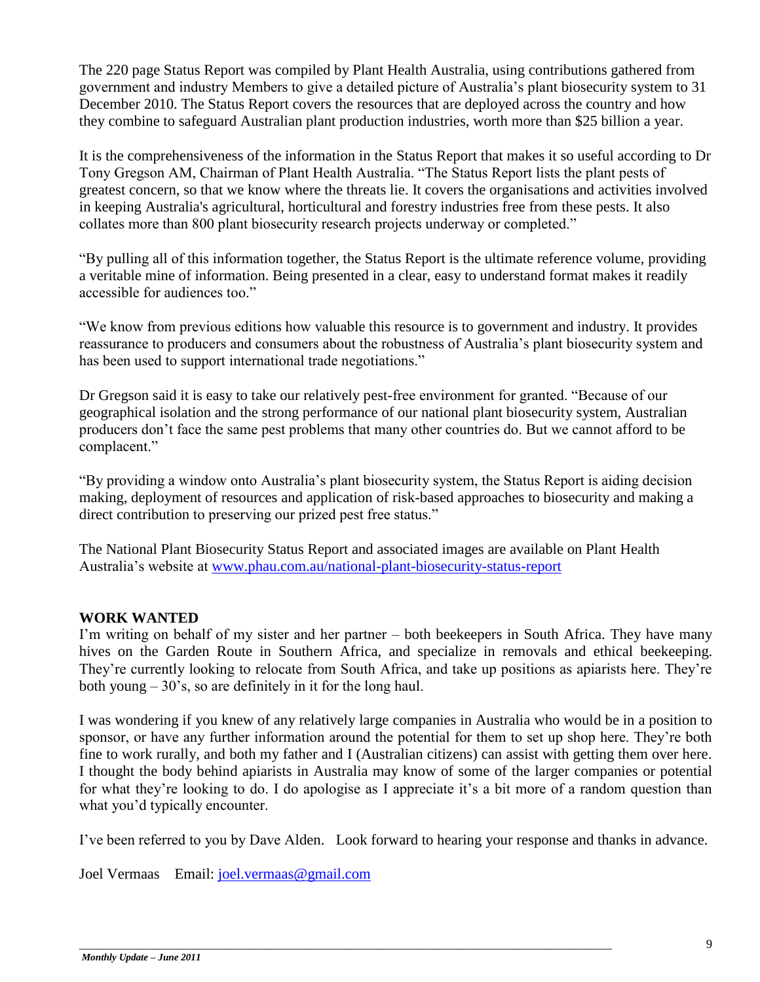The 220 page Status Report was compiled by Plant Health Australia, using contributions gathered from government and industry Members to give a detailed picture of Australia"s plant biosecurity system to 31 December 2010. The Status Report covers the resources that are deployed across the country and how they combine to safeguard Australian plant production industries, worth more than \$25 billion a year.

It is the comprehensiveness of the information in the Status Report that makes it so useful according to Dr Tony Gregson AM, Chairman of Plant Health Australia. "The Status Report lists the plant pests of greatest concern, so that we know where the threats lie. It covers the organisations and activities involved in keeping Australia's agricultural, horticultural and forestry industries free from these pests. It also collates more than 800 plant biosecurity research projects underway or completed."

"By pulling all of this information together, the Status Report is the ultimate reference volume, providing a veritable mine of information. Being presented in a clear, easy to understand format makes it readily accessible for audiences too."

"We know from previous editions how valuable this resource is to government and industry. It provides reassurance to producers and consumers about the robustness of Australia"s plant biosecurity system and has been used to support international trade negotiations."

Dr Gregson said it is easy to take our relatively pest-free environment for granted. "Because of our geographical isolation and the strong performance of our national plant biosecurity system, Australian producers don"t face the same pest problems that many other countries do. But we cannot afford to be complacent."

"By providing a window onto Australia"s plant biosecurity system, the Status Report is aiding decision making, deployment of resources and application of risk-based approaches to biosecurity and making a direct contribution to preserving our prized pest free status."

The National Plant Biosecurity Status Report and associated images are available on Plant Health Australia"s website at [www.phau.com.au/national-plant-biosecurity-status-report](http://www.phau.com.au/national-plant-biosecurity-status-report)

#### **WORK WANTED**

I'm writing on behalf of my sister and her partner – both beekeepers in South Africa. They have many hives on the Garden Route in Southern Africa, and specialize in removals and ethical beekeeping. They're currently looking to relocate from South Africa, and take up positions as apiarists here. They're both young  $-30$ 's, so are definitely in it for the long haul.

I was wondering if you knew of any relatively large companies in Australia who would be in a position to sponsor, or have any further information around the potential for them to set up shop here. They"re both fine to work rurally, and both my father and I (Australian citizens) can assist with getting them over here. I thought the body behind apiarists in Australia may know of some of the larger companies or potential for what they're looking to do. I do apologise as I appreciate it's a bit more of a random question than what you'd typically encounter.

I"ve been referred to you by Dave Alden. Look forward to hearing your response and thanks in advance.

Joel Vermaas Email: [joel.vermaas@gmail.com](mailto:joel.vermaas@gmail.com)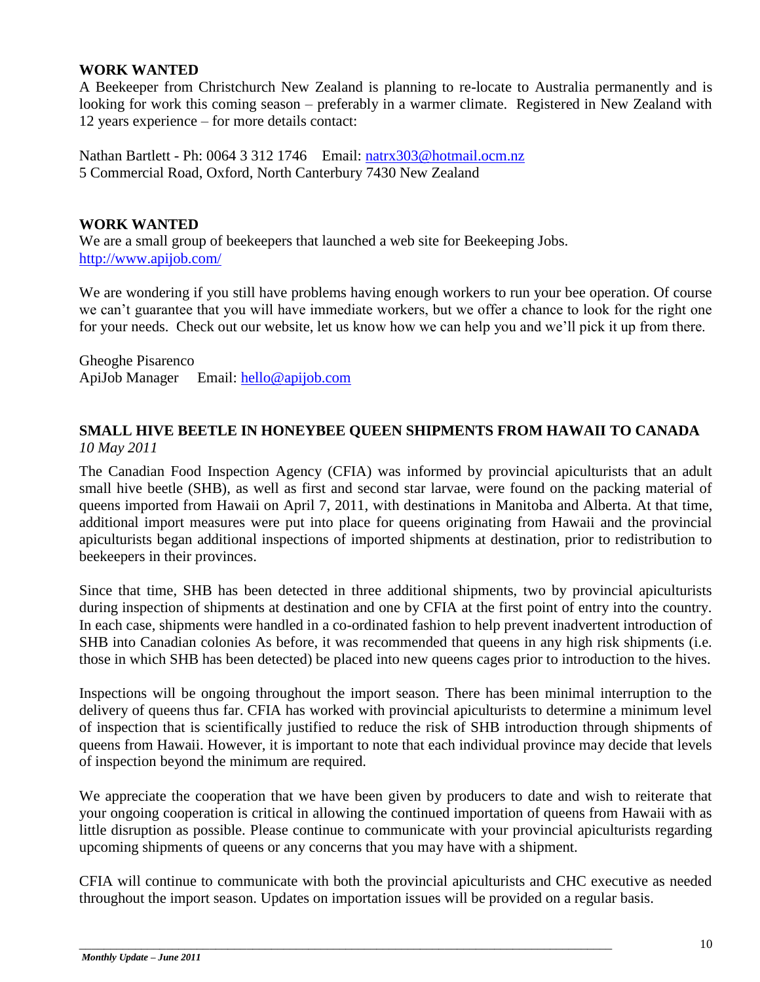#### **WORK WANTED**

A Beekeeper from Christchurch New Zealand is planning to re-locate to Australia permanently and is looking for work this coming season – preferably in a warmer climate. Registered in New Zealand with 12 years experience – for more details contact:

Nathan Bartlett - Ph: 0064 3 312 1746 Email: [natrx303@hotmail.ocm.nz](mailto:natrx303@hotmail.ocm.nz) 5 Commercial Road, Oxford, North Canterbury 7430 New Zealand

#### **WORK WANTED**

We are a small group of beekeepers that launched a web site for Beekeeping Jobs. <http://www.apijob.com/>

We are wondering if you still have problems having enough workers to run your bee operation. Of course we can"t guarantee that you will have immediate workers, but we offer a chance to look for the right one for your needs. Check out our website, let us know how we can help you and we"ll pick it up from there.

Gheoghe Pisarenco ApiJob Manager Email: [hello@apijob.com](mailto:hello@apijob.com)

#### **SMALL HIVE BEETLE IN HONEYBEE QUEEN SHIPMENTS FROM HAWAII TO CANADA** *10 May 2011*

The Canadian Food Inspection Agency (CFIA) was informed by provincial apiculturists that an adult small hive beetle (SHB), as well as first and second star larvae, were found on the packing material of queens imported from Hawaii on April 7, 2011, with destinations in Manitoba and Alberta. At that time, additional import measures were put into place for queens originating from Hawaii and the provincial apiculturists began additional inspections of imported shipments at destination, prior to redistribution to beekeepers in their provinces.

Since that time, SHB has been detected in three additional shipments, two by provincial apiculturists during inspection of shipments at destination and one by CFIA at the first point of entry into the country. In each case, shipments were handled in a co-ordinated fashion to help prevent inadvertent introduction of SHB into Canadian colonies As before, it was recommended that queens in any high risk shipments (i.e. those in which SHB has been detected) be placed into new queens cages prior to introduction to the hives.

Inspections will be ongoing throughout the import season. There has been minimal interruption to the delivery of queens thus far. CFIA has worked with provincial apiculturists to determine a minimum level of inspection that is scientifically justified to reduce the risk of SHB introduction through shipments of queens from Hawaii. However, it is important to note that each individual province may decide that levels of inspection beyond the minimum are required.

We appreciate the cooperation that we have been given by producers to date and wish to reiterate that your ongoing cooperation is critical in allowing the continued importation of queens from Hawaii with as little disruption as possible. Please continue to communicate with your provincial apiculturists regarding upcoming shipments of queens or any concerns that you may have with a shipment.

CFIA will continue to communicate with both the provincial apiculturists and CHC executive as needed throughout the import season. Updates on importation issues will be provided on a regular basis.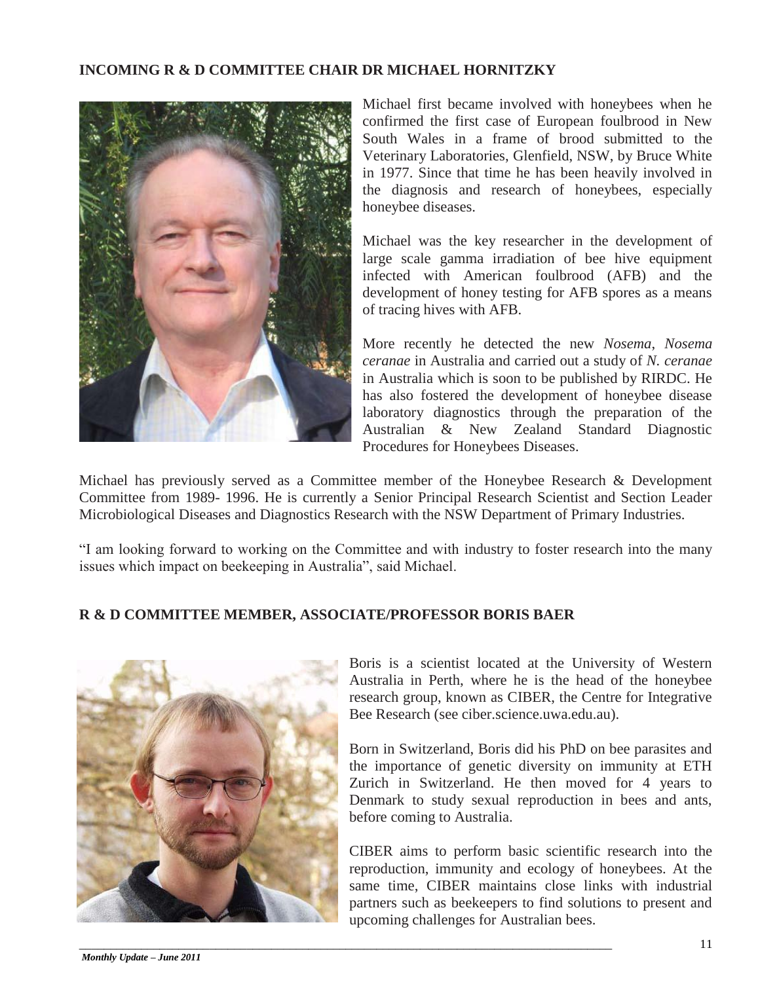#### **INCOMING R & D COMMITTEE CHAIR DR MICHAEL HORNITZKY**



Michael first became involved with honeybees when he confirmed the first case of European foulbrood in New South Wales in a frame of brood submitted to the Veterinary Laboratories, Glenfield, NSW, by Bruce White in 1977. Since that time he has been heavily involved in the diagnosis and research of honeybees, especially honeybee diseases.

Michael was the key researcher in the development of large scale gamma irradiation of bee hive equipment infected with American foulbrood (AFB) and the development of honey testing for AFB spores as a means of tracing hives with AFB.

More recently he detected the new *Nosema*, *Nosema ceranae* in Australia and carried out a study of *N. ceranae*  in Australia which is soon to be published by RIRDC. He has also fostered the development of honeybee disease laboratory diagnostics through the preparation of the Australian & New Zealand Standard Diagnostic Procedures for Honeybees Diseases.

Michael has previously served as a Committee member of the Honeybee Research & Development Committee from 1989- 1996. He is currently a Senior Principal Research Scientist and Section Leader Microbiological Diseases and Diagnostics Research with the NSW Department of Primary Industries.

"I am looking forward to working on the Committee and with industry to foster research into the many issues which impact on beekeeping in Australia", said Michael.

#### **R & D COMMITTEE MEMBER, ASSOCIATE/PROFESSOR BORIS BAER**

\_\_\_\_\_\_\_\_\_\_\_\_\_\_\_\_\_\_\_\_\_\_\_\_\_\_\_\_\_\_\_\_\_\_\_\_\_\_\_\_\_\_\_\_\_\_\_\_\_\_\_\_\_\_\_\_\_\_\_\_\_\_\_\_\_\_\_\_\_\_\_\_\_\_\_\_\_\_\_\_\_\_\_\_\_\_



Boris is a scientist located at the University of Western Australia in Perth, where he is the head of the honeybee research group, known as CIBER, the Centre for Integrative Bee Research (see ciber.science.uwa.edu.au).

Born in Switzerland, Boris did his PhD on bee parasites and the importance of genetic diversity on immunity at ETH Zurich in Switzerland. He then moved for 4 years to Denmark to study sexual reproduction in bees and ants, before coming to Australia.

CIBER aims to perform basic scientific research into the reproduction, immunity and ecology of honeybees. At the same time, CIBER maintains close links with industrial partners such as beekeepers to find solutions to present and upcoming challenges for Australian bees.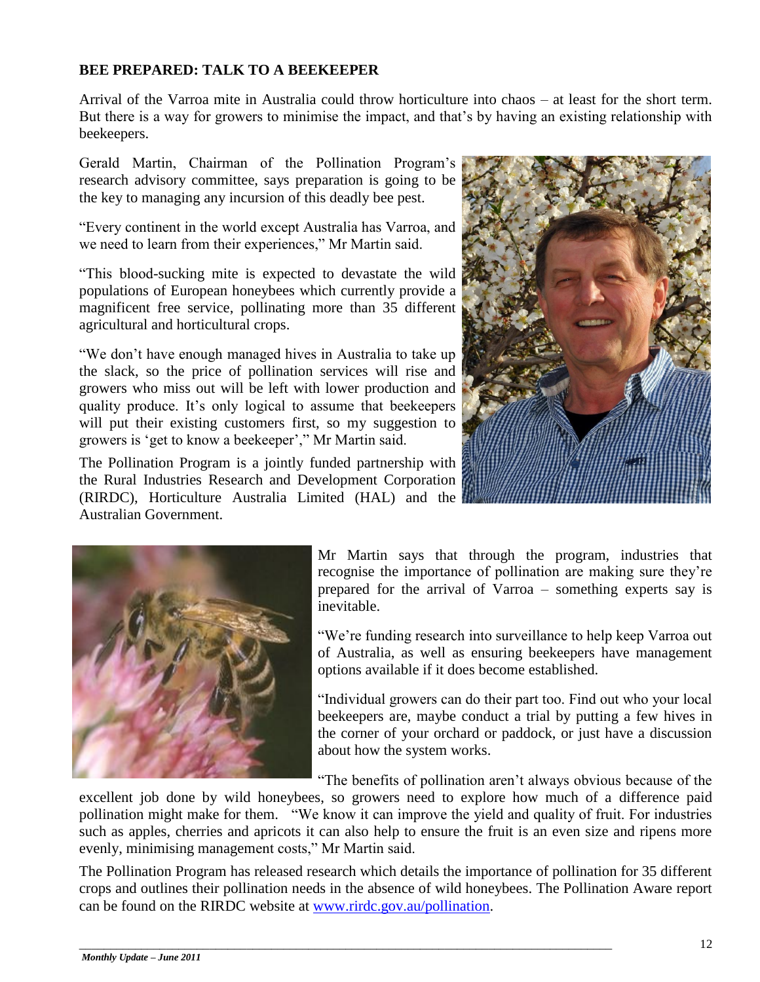#### **BEE PREPARED: TALK TO A BEEKEEPER**

Arrival of the Varroa mite in Australia could throw horticulture into chaos – at least for the short term. But there is a way for growers to minimise the impact, and that's by having an existing relationship with beekeepers.

Gerald Martin, Chairman of the Pollination Program"s research advisory committee, says preparation is going to be the key to managing any incursion of this deadly bee pest.

"Every continent in the world except Australia has Varroa, and we need to learn from their experiences," Mr Martin said.

"This blood-sucking mite is expected to devastate the wild populations of European honeybees which currently provide a magnificent free service, pollinating more than 35 different agricultural and horticultural crops.

"We don"t have enough managed hives in Australia to take up the slack, so the price of pollination services will rise and growers who miss out will be left with lower production and quality produce. It"s only logical to assume that beekeepers will put their existing customers first, so my suggestion to growers is "get to know a beekeeper"," Mr Martin said.

The Pollination Program is a jointly funded partnership with the Rural Industries Research and Development Corporation (RIRDC), Horticulture Australia Limited (HAL) and the Australian Government.





Mr Martin says that through the program, industries that recognise the importance of pollination are making sure they"re prepared for the arrival of Varroa – something experts say is inevitable.

"We"re funding research into surveillance to help keep Varroa out of Australia, as well as ensuring beekeepers have management options available if it does become established.

"Individual growers can do their part too. Find out who your local beekeepers are, maybe conduct a trial by putting a few hives in the corner of your orchard or paddock, or just have a discussion about how the system works.

"The benefits of pollination aren"t always obvious because of the

excellent job done by wild honeybees, so growers need to explore how much of a difference paid pollination might make for them. "We know it can improve the yield and quality of fruit. For industries such as apples, cherries and apricots it can also help to ensure the fruit is an even size and ripens more evenly, minimising management costs," Mr Martin said.

The Pollination Program has released research which details the importance of pollination for 35 different crops and outlines their pollination needs in the absence of wild honeybees. The Pollination Aware report can be found on the RIRDC website at [www.rirdc.gov.au/pollination.](http://promomail.adrenalinmedia.com.au/ch/22934/2dd6w1t/1404767/d71d67m60.html)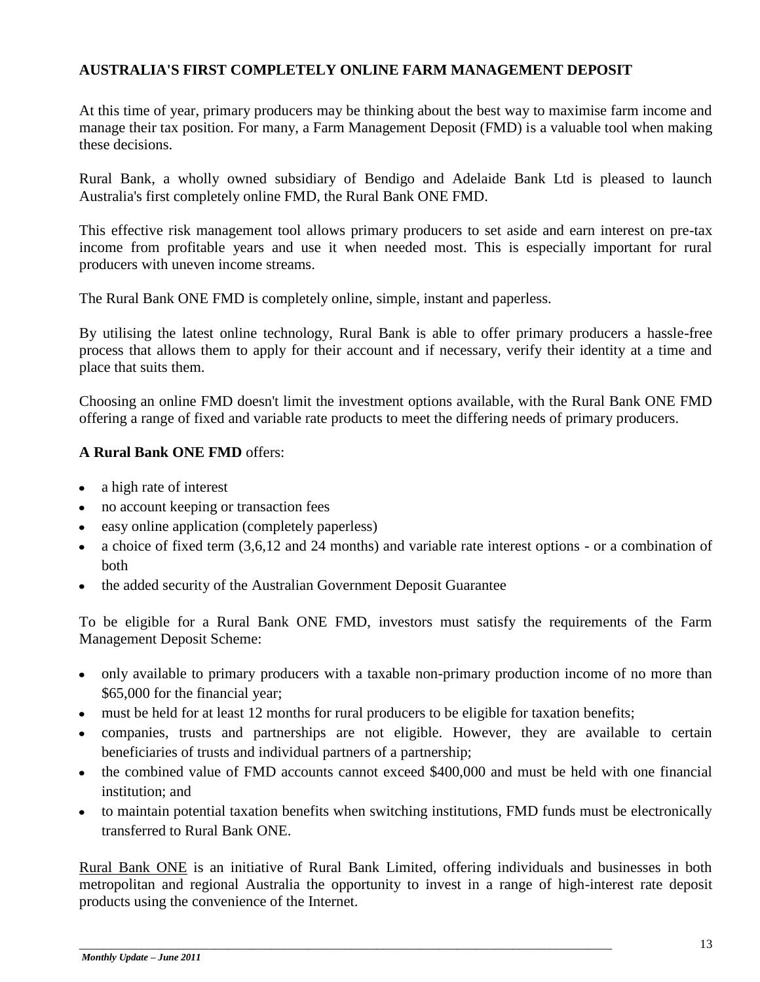#### **AUSTRALIA'S FIRST COMPLETELY ONLINE FARM MANAGEMENT DEPOSIT**

At this time of year, primary producers may be thinking about the best way to maximise farm income and manage their tax position. For many, a Farm Management Deposit (FMD) is a valuable tool when making these decisions.

Rural Bank, a wholly owned subsidiary of Bendigo and Adelaide Bank Ltd is pleased to launch Australia's first completely online FMD, the Rural Bank ONE FMD.

This effective risk management tool allows primary producers to set aside and earn interest on pre-tax income from profitable years and use it when needed most. This is especially important for rural producers with uneven income streams.

The Rural Bank ONE FMD is completely online, simple, instant and paperless.

By utilising the latest online technology, Rural Bank is able to offer primary producers a hassle-free process that allows them to apply for their account and if necessary, verify their identity at a time and place that suits them.

Choosing an online FMD doesn't limit the investment options available, with the Rural Bank ONE FMD offering a range of fixed and variable rate products to meet the differing needs of primary producers.

#### **A Rural Bank ONE FMD** offers:

- a high rate of interest
- no account keeping or transaction fees  $\bullet$
- easy online application (completely paperless)
- a choice of fixed term (3,6,12 and 24 months) and variable rate interest options or a combination of  $\bullet$ both
- the added security of the Australian Government Deposit Guarantee

To be eligible for a Rural Bank ONE FMD, investors must satisfy the requirements of the Farm Management Deposit Scheme:

- only available to primary producers with a taxable non-primary production income of no more than \$65,000 for the financial year;
- must be held for at least 12 months for rural producers to be eligible for taxation benefits;

\_\_\_\_\_\_\_\_\_\_\_\_\_\_\_\_\_\_\_\_\_\_\_\_\_\_\_\_\_\_\_\_\_\_\_\_\_\_\_\_\_\_\_\_\_\_\_\_\_\_\_\_\_\_\_\_\_\_\_\_\_\_\_\_\_\_\_\_\_\_\_\_\_\_\_\_\_\_\_\_\_\_\_\_\_\_

- companies, trusts and partnerships are not eligible. However, they are available to certain beneficiaries of trusts and individual partners of a partnership;
- the combined value of FMD accounts cannot exceed \$400,000 and must be held with one financial institution; and
- to maintain potential taxation benefits when switching institutions, FMD funds must be electronically transferred to Rural Bank ONE.

[Rural Bank ONE](http://www.ruralbankone.com.au/) is an initiative of Rural Bank Limited, offering individuals and businesses in both metropolitan and regional Australia the opportunity to invest in a range of high-interest rate deposit products using the convenience of the Internet.